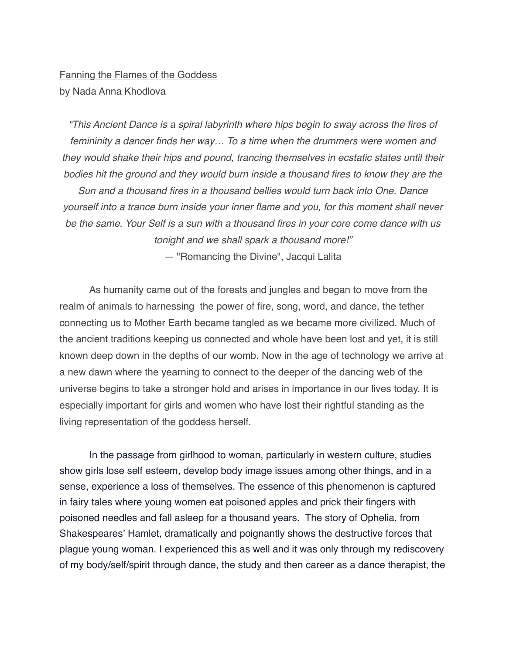## Fanning the Flames of the Goddess by Nada Anna Khodlova

*"This Ancient Dance is a spiral labyrinth where hips begin to sway across the fires of femininity a dancer finds her way… To a time when the drummers were women and they would shake their hips and pound, trancing themselves in ecstatic states until their bodies hit the ground and they would burn inside a thousand fires to know they are the Sun and a thousand fires in a thousand bellies would turn back into One. Dance yourself into a trance burn inside your inner flame and you, for this moment shall never be the same. Your Self is a sun with a thousand fires in your core come dance with us tonight and we shall spark a thousand more!"*

— "Romancing the Divine", Jacqui Lalita

As humanity came out of the forests and jungles and began to move from the realm of animals to harnessing the power of fire, song, word, and dance, the tether connecting us to Mother Earth became tangled as we became more civilized. Much of the ancient traditions keeping us connected and whole have been lost and yet, it is still known deep down in the depths of our womb. Now in the age of technology we arrive at a new dawn where the yearning to connect to the deeper of the dancing web of the universe begins to take a stronger hold and arises in importance in our lives today. It is especially important for girls and women who have lost their rightful standing as the living representation of the goddess herself.

In the passage from girlhood to woman, particularly in western culture, studies show girls lose self esteem, develop body image issues among other things, and in a sense, experience a loss of themselves. The essence of this phenomenon is captured in fairy tales where young women eat poisoned apples and prick their fingers with poisoned needles and fall asleep for a thousand years. The story of Ophelia, from Shakespeares' Hamlet, dramatically and poignantly shows the destructive forces that plague young woman. I experienced this as well and it was only through my rediscovery of my body/self/spirit through dance, the study and then career as a dance therapist, the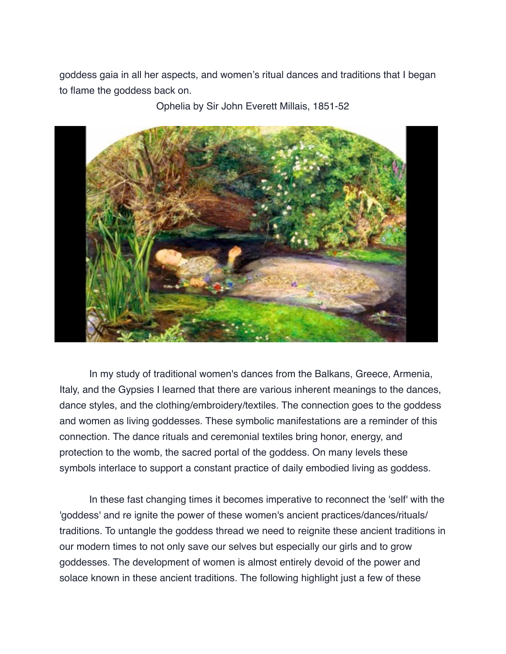goddess gaia in all her aspects, and women's ritual dances and traditions that I began to flame the goddess back on.

Ophelia by Sir John Everett Millais, 1851-52



In my study of traditional women's dances from the Balkans, Greece, Armenia, Italy, and the Gypsies I learned that there are various inherent meanings to the dances, dance styles, and the clothing/embroidery/textiles. The connection goes to the goddess and women as living goddesses. These symbolic manifestations are a reminder of this connection. The dance rituals and ceremonial textiles bring honor, energy, and protection to the womb, the sacred portal of the goddess. On many levels these symbols interlace to support a constant practice of daily embodied living as goddess.

In these fast changing times it becomes imperative to reconnect the 'self' with the 'goddess' and re ignite the power of these women's ancient practices/dances/rituals/ traditions. To untangle the goddess thread we need to reignite these ancient traditions in our modern times to not only save our selves but especially our girls and to grow goddesses. The development of women is almost entirely devoid of the power and solace known in these ancient traditions. The following highlight just a few of these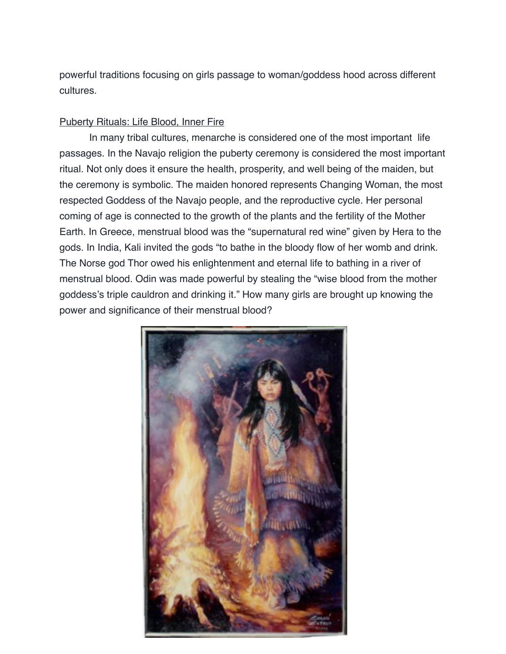powerful traditions focusing on girls passage to woman/goddess hood across different cultures.

#### Puberty Rituals: Life Blood, Inner Fire

In many tribal cultures, menarche is considered one of the most important life passages. In the Navajo religion the puberty ceremony is considered the most important ritual. Not only does it ensure the health, prosperity, and well being of the maiden, but the ceremony is symbolic. The maiden honored represents Changing Woman, the most respected Goddess of the Navajo people, and the reproductive cycle. Her personal coming of age is connected to the growth of the plants and the fertility of the Mother Earth. In Greece, menstrual blood was the "supernatural red wine" given by Hera to the gods. In India, Kali invited the gods "to bathe in the bloody flow of her womb and drink. The Norse god Thor owed his enlightenment and eternal life to bathing in a river of menstrual blood. Odin was made powerful by stealing the "wise blood from the mother goddess's triple cauldron and drinking it." How many girls are brought up knowing the power and significance of their menstrual blood?

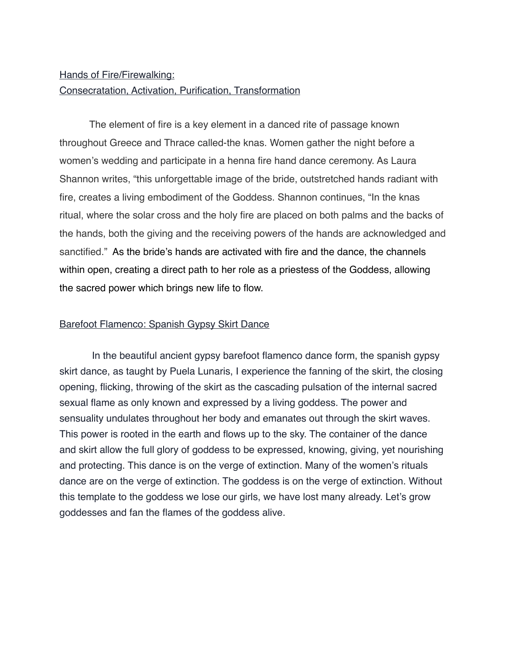# Hands of Fire/Firewalking: Consecratation, Activation, Purification, Transformation

The element of fire is a key element in a danced rite of passage known throughout Greece and Thrace called-the knas. Women gather the night before a women's wedding and participate in a henna fire hand dance ceremony. As Laura Shannon writes, "this unforgettable image of the bride, outstretched hands radiant with fire, creates a living embodiment of the Goddess. Shannon continues, "In the knas ritual, where the solar cross and the holy fire are placed on both palms and the backs of the hands, both the giving and the receiving powers of the hands are acknowledged and sanctified." As the bride's hands are activated with fire and the dance, the channels within open, creating a direct path to her role as a priestess of the Goddess, allowing the sacred power which brings new life to flow.

### Barefoot Flamenco: Spanish Gypsy Skirt Dance

 In the beautiful ancient gypsy barefoot flamenco dance form, the spanish gypsy skirt dance, as taught by Puela Lunaris, I experience the fanning of the skirt, the closing opening, flicking, throwing of the skirt as the cascading pulsation of the internal sacred sexual flame as only known and expressed by a living goddess. The power and sensuality undulates throughout her body and emanates out through the skirt waves. This power is rooted in the earth and flows up to the sky. The container of the dance and skirt allow the full glory of goddess to be expressed, knowing, giving, yet nourishing and protecting. This dance is on the verge of extinction. Many of the women's rituals dance are on the verge of extinction. The goddess is on the verge of extinction. Without this template to the goddess we lose our girls, we have lost many already. Let's grow goddesses and fan the flames of the goddess alive.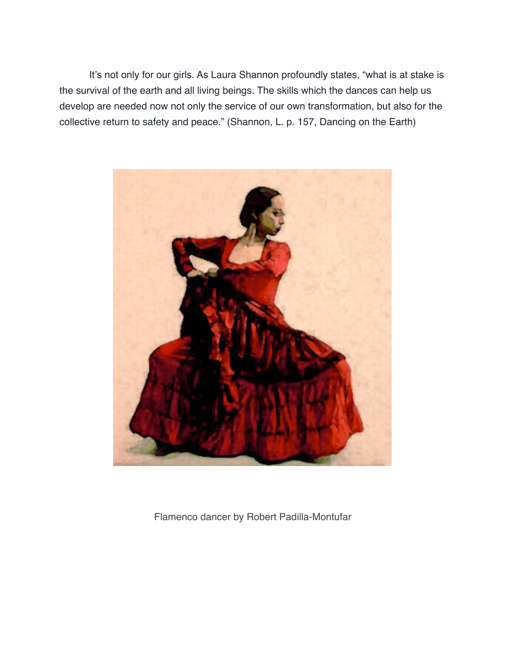It's not only for our girls. As Laura Shannon profoundly states, "what is at stake is the survival of the earth and all living beings. The skills which the dances can help us develop are needed now not only the service of our own transformation, but also for the collective return to safety and peace." (Shannon, L. p. 157, Dancing on the Earth)



Flamenco dancer by Robert Padilla-Montufar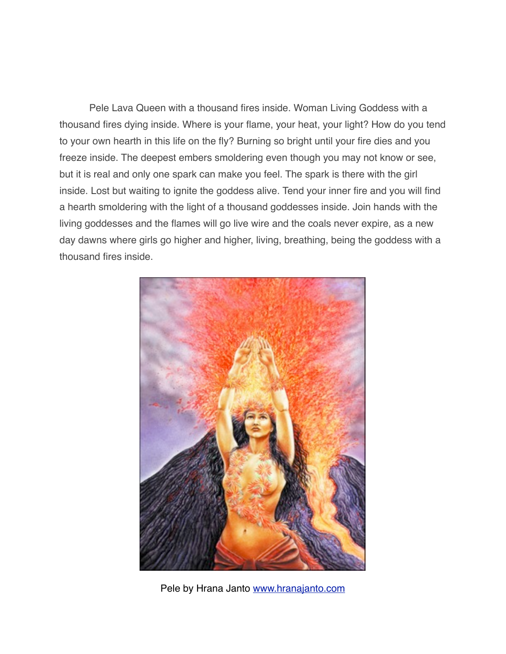Pele Lava Queen with a thousand fires inside. Woman Living Goddess with a thousand fires dying inside. Where is your flame, your heat, your light? How do you tend to your own hearth in this life on the fly? Burning so bright until your fire dies and you freeze inside. The deepest embers smoldering even though you may not know or see, but it is real and only one spark can make you feel. The spark is there with the girl inside. Lost but waiting to ignite the goddess alive. Tend your inner fire and you will find a hearth smoldering with the light of a thousand goddesses inside. Join hands with the living goddesses and the flames will go live wire and the coals never expire, as a new day dawns where girls go higher and higher, living, breathing, being the goddess with a thousand fires inside.



Pele by Hrana Janto [www.hranajanto.com](http://www.hranajanto.com)